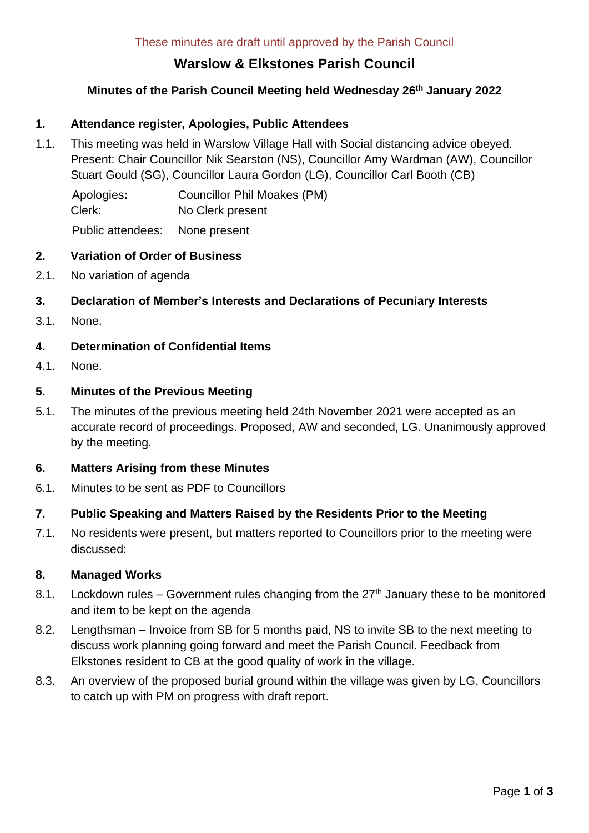# **Warslow & Elkstones Parish Council**

# **Minutes of the Parish Council Meeting held Wednesday 26 th January 2022**

### **1. Attendance register, Apologies, Public Attendees**

1.1. This meeting was held in Warslow Village Hall with Social distancing advice obeyed. Present: Chair Councillor Nik Searston (NS), Councillor Amy Wardman (AW), Councillor Stuart Gould (SG), Councillor Laura Gordon (LG), Councillor Carl Booth (CB)

Apologies**:** Councillor Phil Moakes (PM) Clerk: No Clerk present Public attendees: None present

#### **2. Variation of Order of Business**

2.1. No variation of agenda

# **3. Declaration of Member's Interests and Declarations of Pecuniary Interests**

3.1. None.

### **4. Determination of Confidential Items**

4.1. None.

#### **5. Minutes of the Previous Meeting**

5.1. The minutes of the previous meeting held 24th November 2021 were accepted as an accurate record of proceedings. Proposed, AW and seconded, LG. Unanimously approved by the meeting.

#### **6. Matters Arising from these Minutes**

6.1. Minutes to be sent as PDF to Councillors

#### **7. Public Speaking and Matters Raised by the Residents Prior to the Meeting**

7.1. No residents were present, but matters reported to Councillors prior to the meeting were discussed:

#### **8. Managed Works**

- 8.1. Lockdown rules Government rules changing from the  $27<sup>th</sup>$  January these to be monitored and item to be kept on the agenda
- 8.2. Lengthsman Invoice from SB for 5 months paid, NS to invite SB to the next meeting to discuss work planning going forward and meet the Parish Council. Feedback from Elkstones resident to CB at the good quality of work in the village.
- 8.3. An overview of the proposed burial ground within the village was given by LG, Councillors to catch up with PM on progress with draft report.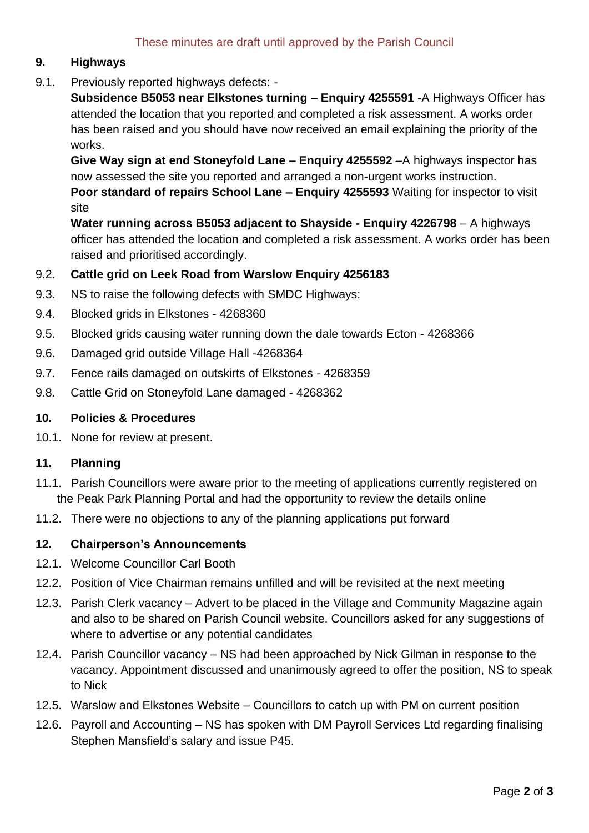# **9. Highways**

9.1. Previously reported highways defects: -

**Subsidence B5053 near Elkstones turning – Enquiry 4255591** -A Highways Officer has attended the location that you reported and completed a risk assessment. A works order has been raised and you should have now received an email explaining the priority of the works.

**Give Way sign at end Stoneyfold Lane – Enquiry 4255592** –A highways inspector has now assessed the site you reported and arranged a non-urgent works instruction. **Poor standard of repairs School Lane – Enquiry 4255593** Waiting for inspector to visit site

**Water running across B5053 adjacent to Shayside - Enquiry 4226798** – A highways officer has attended the location and completed a risk assessment. A works order has been raised and prioritised accordingly.

# 9.2. **Cattle grid on Leek Road from Warslow Enquiry 4256183**

- 9.3. NS to raise the following defects with SMDC Highways:
- 9.4. Blocked grids in Elkstones 4268360
- 9.5. Blocked grids causing water running down the dale towards Ecton 4268366
- 9.6. Damaged grid outside Village Hall -4268364
- 9.7. Fence rails damaged on outskirts of Elkstones 4268359
- 9.8. Cattle Grid on Stoneyfold Lane damaged 4268362

#### **10. Policies & Procedures**

10.1. None for review at present.

#### **11. Planning**

- 11.1. Parish Councillors were aware prior to the meeting of applications currently registered on the Peak Park Planning Portal and had the opportunity to review the details online
- 11.2. There were no objections to any of the planning applications put forward

# **12. Chairperson's Announcements**

- 12.1. Welcome Councillor Carl Booth
- 12.2. Position of Vice Chairman remains unfilled and will be revisited at the next meeting
- 12.3. Parish Clerk vacancy Advert to be placed in the Village and Community Magazine again and also to be shared on Parish Council website. Councillors asked for any suggestions of where to advertise or any potential candidates
- 12.4. Parish Councillor vacancy NS had been approached by Nick Gilman in response to the vacancy. Appointment discussed and unanimously agreed to offer the position, NS to speak to Nick
- 12.5. Warslow and Elkstones Website Councillors to catch up with PM on current position
- 12.6. Payroll and Accounting NS has spoken with DM Payroll Services Ltd regarding finalising Stephen Mansfield's salary and issue P45.